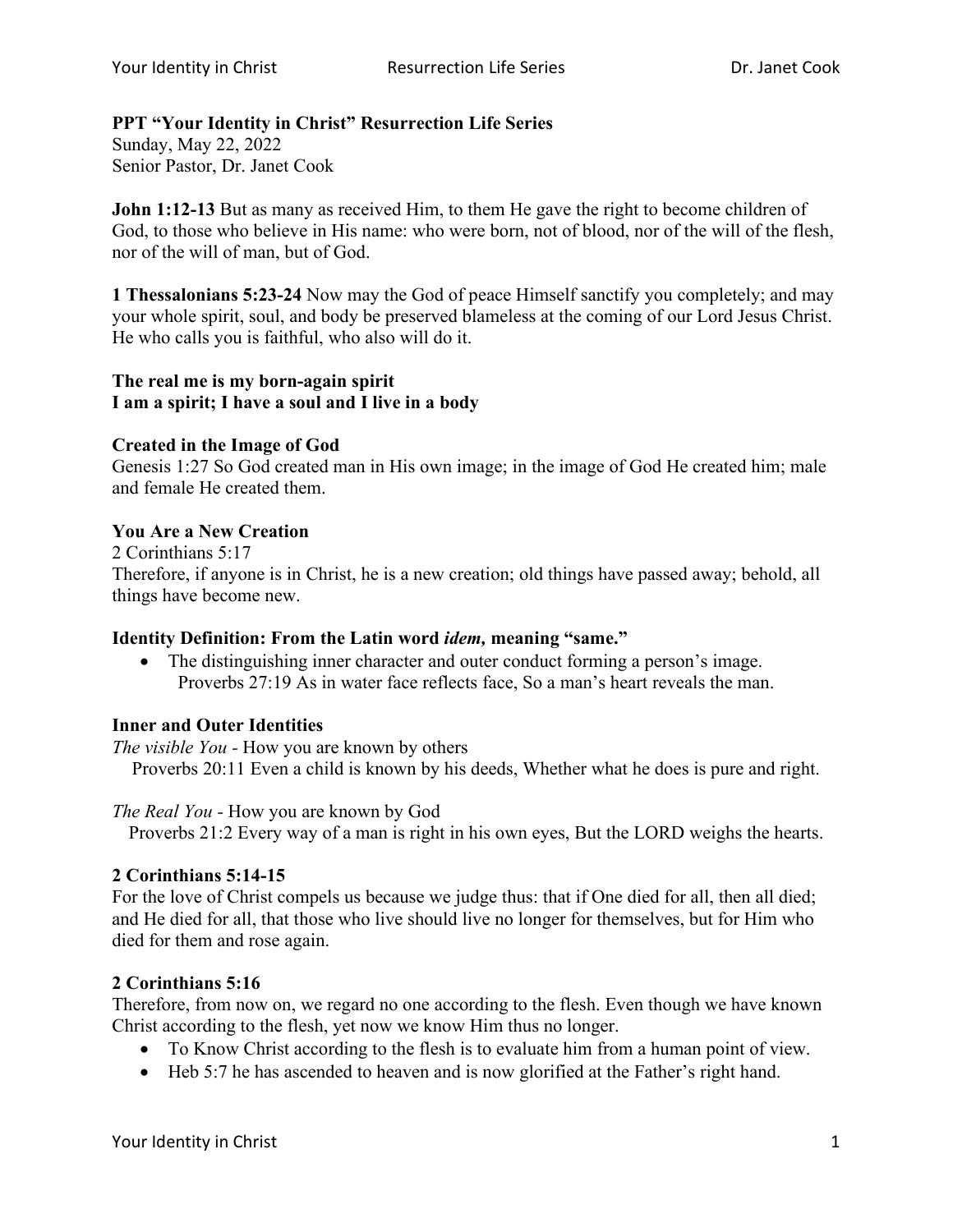## **PPT "Your Identity in Christ" Resurrection Life Series**

Sunday, May 22, 2022 Senior Pastor, Dr. Janet Cook

**John 1:12-13** But as many as received Him, to them He gave the right to become children of God, to those who believe in His name: who were born, not of blood, nor of the will of the flesh, nor of the will of man, but of God.

**1 Thessalonians 5:23-24** Now may the God of peace Himself sanctify you completely; and may your whole spirit, soul, and body be preserved blameless at the coming of our Lord Jesus Christ. He who calls you is faithful, who also will do it.

#### **The real me is my born-again spirit I am a spirit; I have a soul and I live in a body**

#### **Created in the Image of God**

Genesis 1:27 So God created man in His own image; in the image of God He created him; male and female He created them.

#### **You Are a New Creation**

2 Corinthians 5:17 Therefore, if anyone is in Christ, he is a new creation; old things have passed away; behold, all things have become new.

#### **Identity Definition: From the Latin word** *idem,* **meaning "same."**

• The distinguishing inner character and outer conduct forming a person's image. Proverbs 27:19 As in water face reflects face, So a man's heart reveals the man.

#### **Inner and Outer Identities**

*The visible You -* How you are known by others Proverbs 20:11 Even a child is known by his deeds, Whether what he does is pure and right.

*The Real You -* How you are known by God Proverbs 21:2 Every way of a man is right in his own eyes, But the LORD weighs the hearts.

#### **2 Corinthians 5:14-15**

For the love of Christ compels us because we judge thus: that if One died for all, then all died; and He died for all, that those who live should live no longer for themselves, but for Him who died for them and rose again.

#### **2 Corinthians 5:16**

Therefore, from now on, we regard no one according to the flesh. Even though we have known Christ according to the flesh, yet now we know Him thus no longer.

- To Know Christ according to the flesh is to evaluate him from a human point of view.
- Heb 5:7 he has ascended to heaven and is now glorified at the Father's right hand.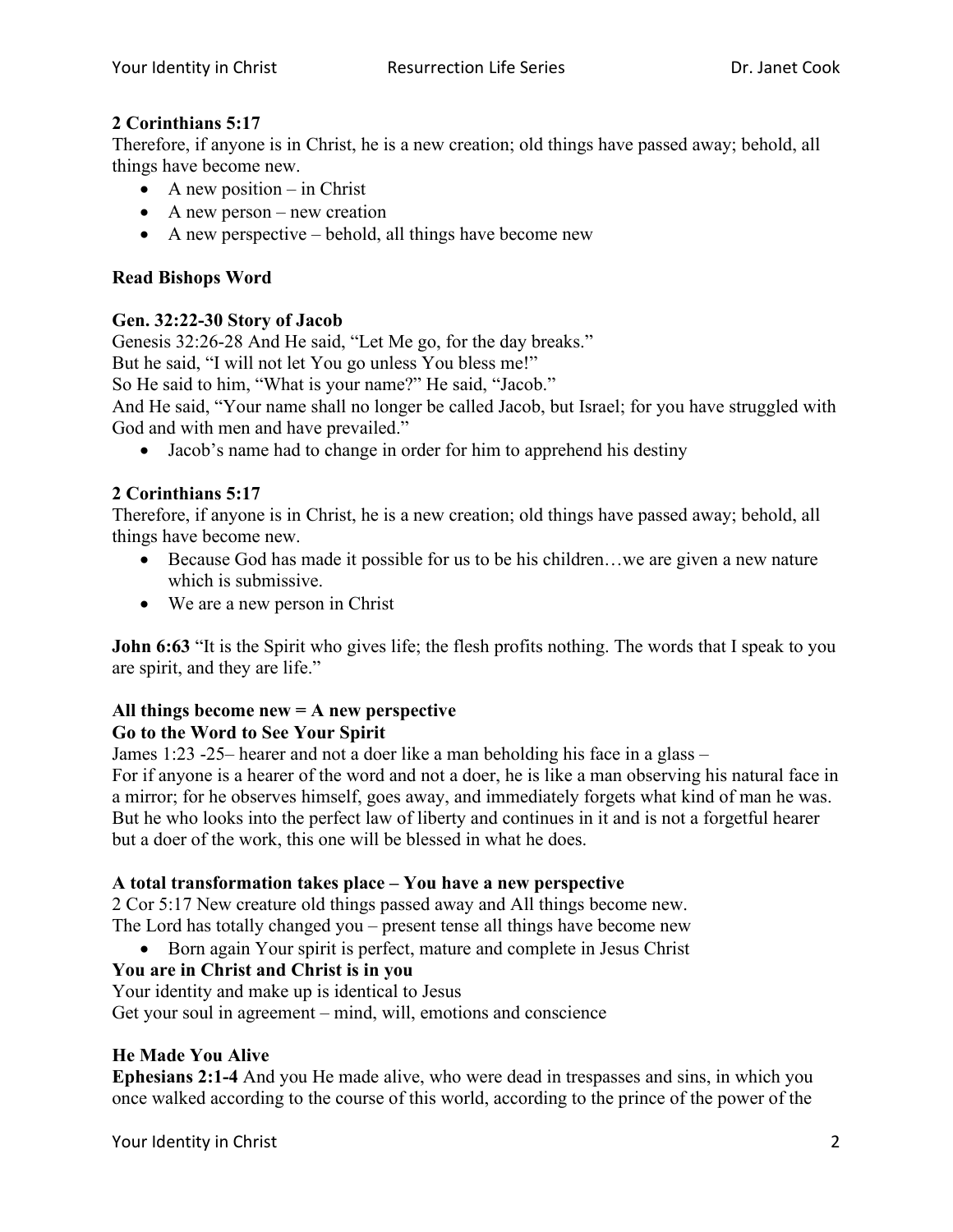#### **2 Corinthians 5:17**

Therefore, if anyone is in Christ, he is a new creation; old things have passed away; behold, all things have become new.

- A new position in Christ
- A new person new creation
- A new perspective behold, all things have become new

## **Read Bishops Word**

#### **Gen. 32:22-30 Story of Jacob**

Genesis 32:26-28 And He said, "Let Me go, for the day breaks."

But he said, "I will not let You go unless You bless me!"

So He said to him, "What is your name?" He said, "Jacob."

And He said, "Your name shall no longer be called Jacob, but Israel; for you have struggled with God and with men and have prevailed."

• Jacob's name had to change in order for him to apprehend his destiny

# **2 Corinthians 5:17**

Therefore, if anyone is in Christ, he is a new creation; old things have passed away; behold, all things have become new.

- Because God has made it possible for us to be his children...we are given a new nature which is submissive.
- We are a new person in Christ

**John 6:63** "It is the Spirit who gives life; the flesh profits nothing. The words that I speak to you are spirit, and they are life."

#### **All things become new = A new perspective Go to the Word to See Your Spirit**

James 1:23 -25– hearer and not a doer like a man beholding his face in a glass – For if anyone is a hearer of the word and not a doer, he is like a man observing his natural face in a mirror; for he observes himself, goes away, and immediately forgets what kind of man he was. But he who looks into the perfect law of liberty and continues in it and is not a forgetful hearer

but a doer of the work, this one will be blessed in what he does.

#### **A total transformation takes place – You have a new perspective**

2 Cor 5:17 New creature old things passed away and All things become new. The Lord has totally changed you – present tense all things have become new

• Born again Your spirit is perfect, mature and complete in Jesus Christ

# **You are in Christ and Christ is in you**

Your identity and make up is identical to Jesus

Get your soul in agreement – mind, will, emotions and conscience

#### **He Made You Alive**

**Ephesians 2:1-4** And you He made alive, who were dead in trespasses and sins, in which you once walked according to the course of this world, according to the prince of the power of the

Your Identity in Christ 2